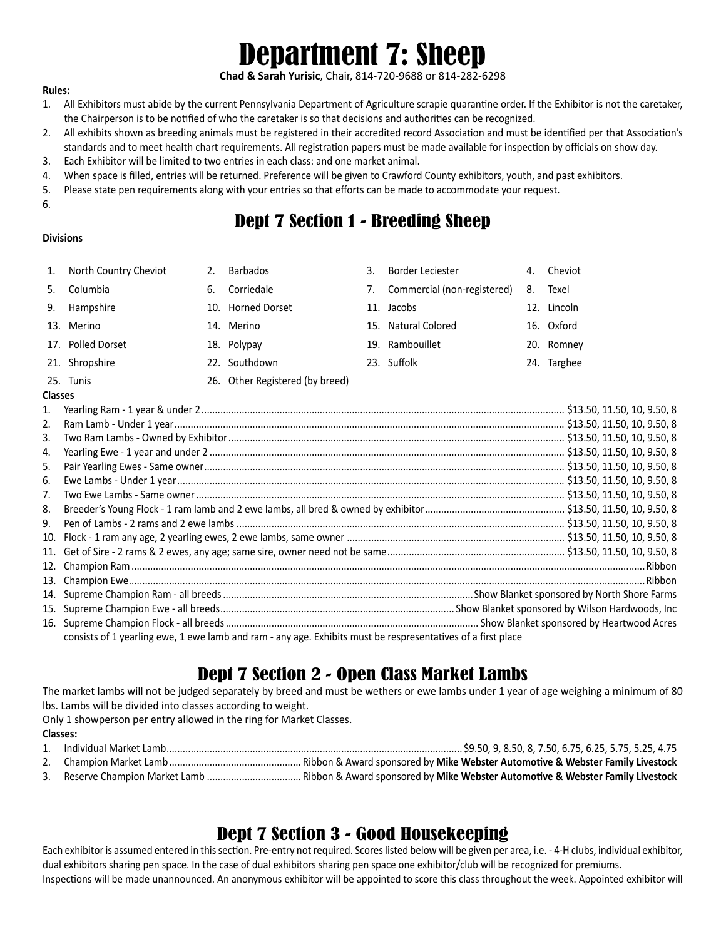# Department 7: Sheep

**Chad & Sarah Yurisic**, Chair, 814-720-9688 or 814-282-6298

#### **Rules:**

- 1. All Exhibitors must abide by the current Pennsylvania Department of Agriculture scrapie quarantine order. If the Exhibitor is not the caretaker, the Chairperson is to be notified of who the caretaker is so that decisions and authorities can be recognized.
- 2. All exhibits shown as breeding animals must be registered in their accredited record Association and must be identified per that Association's standards and to meet health chart requirements. All registration papers must be made available for inspection by officials on show day.
- 3. Each Exhibitor will be limited to two entries in each class: and one market animal.
- 4. When space is filled, entries will be returned. Preference will be given to Crawford County exhibitors, youth, and past exhibitors.
- 5. Please state pen requirements along with your entries so that efforts can be made to accommodate your request.
- 6.

# Dept 7 Section 1 - Breeding Sheep

#### **Divisions**

| 1.             | North Country Cheviot                                                                                        | 2. | <b>Barbados</b>                 | 3 <sub>1</sub> | Border Leciester               |    | 4. Cheviot  |  |  |
|----------------|--------------------------------------------------------------------------------------------------------------|----|---------------------------------|----------------|--------------------------------|----|-------------|--|--|
| 5.             | Columbia                                                                                                     | 6. | Corriedale                      |                | 7. Commercial (non-registered) | 8. | Texel       |  |  |
| 9.             | Hampshire                                                                                                    |    | 10. Horned Dorset               |                | 11. Jacobs                     |    | 12. Lincoln |  |  |
|                | 13. Merino                                                                                                   |    | 14. Merino                      |                | 15. Natural Colored            |    | 16. Oxford  |  |  |
|                | 17. Polled Dorset                                                                                            |    | 18. Polypay                     |                | 19. Rambouillet                |    | 20. Romney  |  |  |
|                | 21. Shropshire                                                                                               |    | 22. Southdown                   |                | 23. Suffolk                    |    | 24. Targhee |  |  |
|                | 25. Tunis                                                                                                    |    | 26. Other Registered (by breed) |                |                                |    |             |  |  |
|                | <b>Classes</b>                                                                                               |    |                                 |                |                                |    |             |  |  |
| 1.             |                                                                                                              |    |                                 |                |                                |    |             |  |  |
| 2.             |                                                                                                              |    |                                 |                |                                |    |             |  |  |
| 3.             |                                                                                                              |    |                                 |                |                                |    |             |  |  |
| 4.             |                                                                                                              |    |                                 |                |                                |    |             |  |  |
| 5.             |                                                                                                              |    |                                 |                |                                |    |             |  |  |
| 6.             |                                                                                                              |    |                                 |                |                                |    |             |  |  |
| 7 <sub>1</sub> |                                                                                                              |    |                                 |                |                                |    |             |  |  |
| 8.             |                                                                                                              |    |                                 |                |                                |    |             |  |  |
| 9.             |                                                                                                              |    |                                 |                |                                |    |             |  |  |
| 10.            |                                                                                                              |    |                                 |                |                                |    |             |  |  |
| 11.            |                                                                                                              |    |                                 |                |                                |    |             |  |  |
| 12.            |                                                                                                              |    |                                 |                |                                |    |             |  |  |
| 13.            |                                                                                                              |    |                                 |                |                                |    |             |  |  |
|                |                                                                                                              |    |                                 |                |                                |    |             |  |  |
| 14.            |                                                                                                              |    |                                 |                |                                |    |             |  |  |
|                |                                                                                                              |    |                                 |                |                                |    |             |  |  |
|                |                                                                                                              |    |                                 |                |                                |    |             |  |  |
|                | consists of 1 yearling ewe, 1 ewe lamb and ram - any age. Exhibits must be respresentatives of a first place |    |                                 |                |                                |    |             |  |  |

# Dept 7 Section 2 - Open Class Market Lambs

The market lambs will not be judged separately by breed and must be wethers or ewe lambs under 1 year of age weighing a minimum of 80 lbs. Lambs will be divided into classes according to weight.

Only 1 showperson per entry allowed in the ring for Market Classes.

#### **Classes:**

- 1. Individual Market Lamb..............................................................................................................\$9.50, 9, 8.50, 8, 7.50, 6.75, 6.25, 5.75, 5.25, 4.75 2. Champion Market Lamb................................................. Ribbon & Award sponsored by **Mike Webster Automotive & Webster Family Livestock**
- 3. Reserve Champion Market Lamb ................................... Ribbon & Award sponsored by **Mike Webster Automotive & Webster Family Livestock**

# Dept 7 Section 3 - Good Housekeeping

Each exhibitor is assumed entered in this section. Pre-entry not required. Scores listed below will be given per area, i.e. - 4-H clubs, individual exhibitor, dual exhibitors sharing pen space. In the case of dual exhibitors sharing pen space one exhibitor/club will be recognized for premiums. Inspections will be made unannounced. An anonymous exhibitor will be appointed to score this class throughout the week. Appointed exhibitor will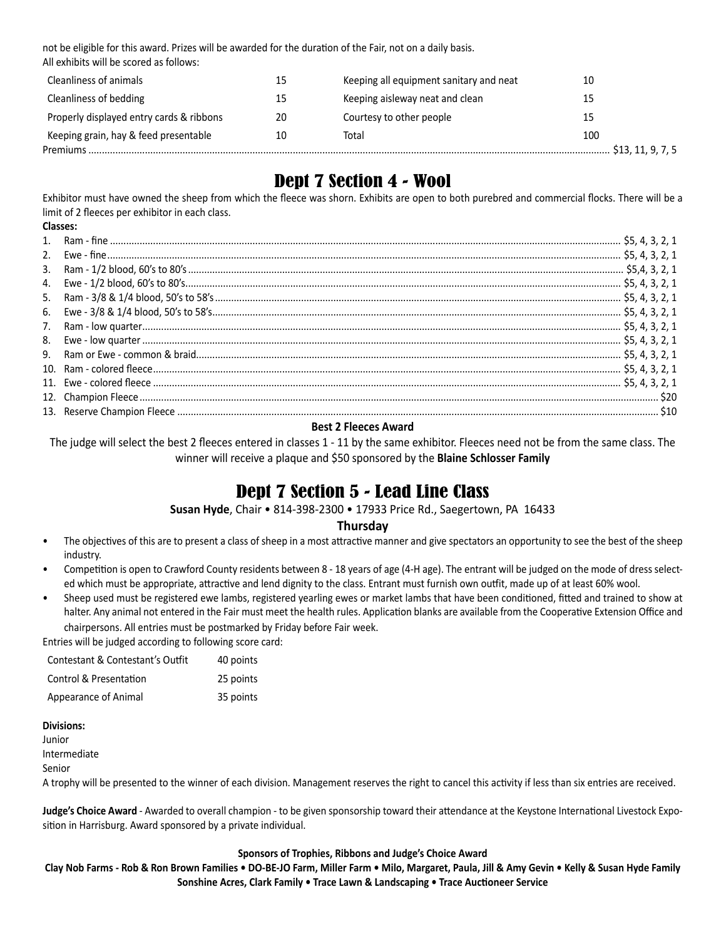not be eligible for this award. Prizes will be awarded for the duration of the Fair, not on a daily basis. All exhibits will be scored as follows:

| Cleanliness of animals                   | 15 | Keeping all equipment sanitary and neat | 10                |
|------------------------------------------|----|-----------------------------------------|-------------------|
| Cleanliness of bedding                   | 15 | Keeping aisleway neat and clean         | 15                |
| Properly displayed entry cards & ribbons | 20 | Courtesy to other people                | 15                |
| Keeping grain, hay & feed presentable    | 10 | Total                                   | 100               |
| Premiums                                 |    |                                         | \$13, 11, 9, 7, 5 |

# Dept 7 Section 4 - Wool

Exhibitor must have owned the sheep from which the fleece was shorn. Exhibits are open to both purebred and commercial flocks. There will be a limit of 2 fleeces per exhibitor in each class.

|    | Classes: |  |
|----|----------|--|
|    |          |  |
|    |          |  |
| 3. |          |  |
|    |          |  |
|    |          |  |
| 6. |          |  |
| 7. |          |  |
|    |          |  |
|    |          |  |
|    |          |  |
|    |          |  |
|    |          |  |
|    |          |  |
|    |          |  |

#### **Best 2 Fleeces Award**

The judge will select the best 2 fleeces entered in classes 1 - 11 by the same exhibitor. Fleeces need not be from the same class. The winner will receive a plaque and \$50 sponsored by the **Blaine Schlosser Family**

### Dept 7 Section 5 - Lead Line Class

**Susan Hyde**, Chair • 814-398-2300 • 17933 Price Rd., Saegertown, PA 16433

#### **Thursday**

- The objectives of this are to present a class of sheep in a most attractive manner and give spectators an opportunity to see the best of the sheep industry.
- Competition is open to Crawford County residents between 8 18 years of age (4-H age). The entrant will be judged on the mode of dress selected which must be appropriate, attractive and lend dignity to the class. Entrant must furnish own outfit, made up of at least 60% wool.
- Sheep used must be registered ewe lambs, registered yearling ewes or market lambs that have been conditioned, fitted and trained to show at halter. Any animal not entered in the Fair must meet the health rules. Application blanks are available from the Cooperative Extension Office and chairpersons. All entries must be postmarked by Friday before Fair week.

Entries will be judged according to following score card:

| Contestant & Contestant's Outfit | 40 points |
|----------------------------------|-----------|
| Control & Presentation           | 25 points |
| Appearance of Animal             | 35 points |

#### **Divisions:**

Junior Intermediate

Senior

A trophy will be presented to the winner of each division. Management reserves the right to cancel this activity if less than six entries are received.

**Judge's Choice Award** - Awarded to overall champion - to be given sponsorship toward their attendance at the Keystone International Livestock Exposition in Harrisburg. Award sponsored by a private individual.

#### **Sponsors of Trophies, Ribbons and Judge's Choice Award**

**Clay Nob Farms - Rob & Ron Brown Families • DO-BE-JO Farm, Miller Farm • Milo, Margaret, Paula, Jill & Amy Gevin • Kelly & Susan Hyde Family Sonshine Acres, Clark Family • Trace Lawn & Landscaping • Trace Auctioneer Service**